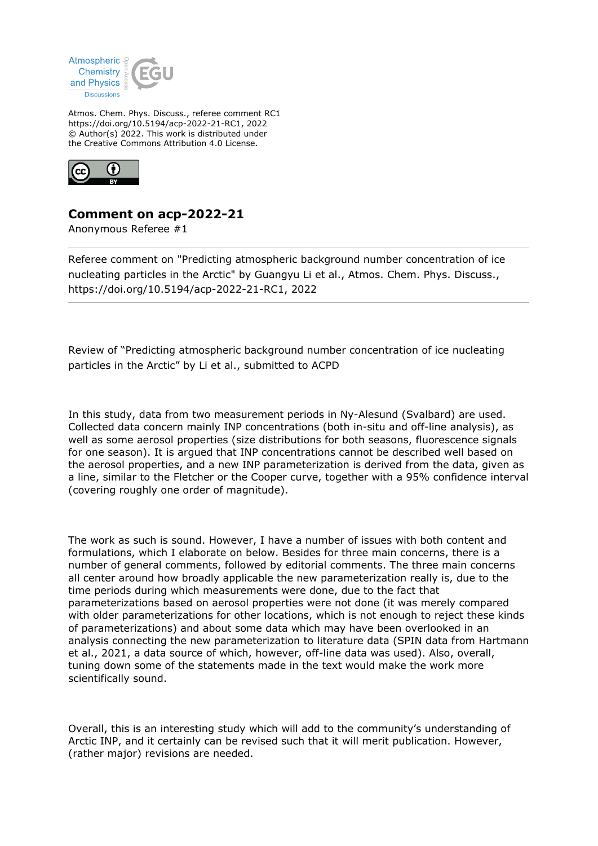

Atmos. Chem. Phys. Discuss., referee comment RC1 https://doi.org/10.5194/acp-2022-21-RC1, 2022 © Author(s) 2022. This work is distributed under the Creative Commons Attribution 4.0 License.



# **Comment on acp-2022-21**

Anonymous Referee #1

Referee comment on "Predicting atmospheric background number concentration of ice nucleating particles in the Arctic" by Guangyu Li et al., Atmos. Chem. Phys. Discuss., https://doi.org/10.5194/acp-2022-21-RC1, 2022

Review of "Predicting atmospheric background number concentration of ice nucleating particles in the Arctic" by Li et al., submitted to ACPD

In this study, data from two measurement periods in Ny-Alesund (Svalbard) are used. Collected data concern mainly INP concentrations (both in-situ and off-line analysis), as well as some aerosol properties (size distributions for both seasons, fluorescence signals for one season). It is argued that INP concentrations cannot be described well based on the aerosol properties, and a new INP parameterization is derived from the data, given as a line, similar to the Fletcher or the Cooper curve, together with a 95% confidence interval (covering roughly one order of magnitude).

The work as such is sound. However, I have a number of issues with both content and formulations, which I elaborate on below. Besides for three main concerns, there is a number of general comments, followed by editorial comments. The three main concerns all center around how broadly applicable the new parameterization really is, due to the time periods during which measurements were done, due to the fact that parameterizations based on aerosol properties were not done (it was merely compared with older parameterizations for other locations, which is not enough to reject these kinds of parameterizations) and about some data which may have been overlooked in an analysis connecting the new parameterization to literature data (SPIN data from Hartmann et al., 2021, a data source of which, however, off-line data was used). Also, overall, tuning down some of the statements made in the text would make the work more scientifically sound.

Overall, this is an interesting study which will add to the community's understanding of Arctic INP, and it certainly can be revised such that it will merit publication. However, (rather major) revisions are needed.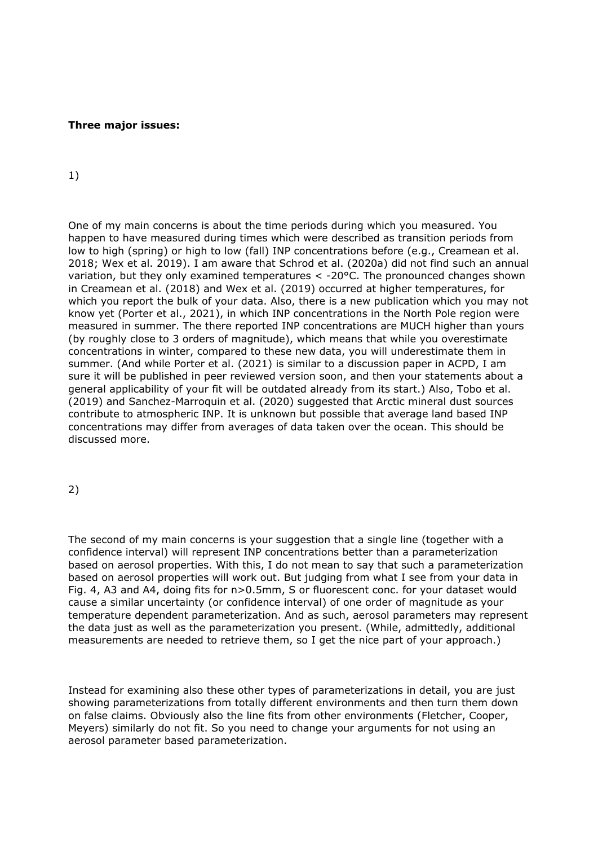#### **Three major issues:**

#### 1)

One of my main concerns is about the time periods during which you measured. You happen to have measured during times which were described as transition periods from low to high (spring) or high to low (fall) INP concentrations before (e.g., Creamean et al. 2018; Wex et al. 2019). I am aware that Schrod et al. (2020a) did not find such an annual variation, but they only examined temperatures < -20°C. The pronounced changes shown in Creamean et al. (2018) and Wex et al. (2019) occurred at higher temperatures, for which you report the bulk of your data. Also, there is a new publication which you may not know yet (Porter et al., 2021), in which INP concentrations in the North Pole region were measured in summer. The there reported INP concentrations are MUCH higher than yours (by roughly close to 3 orders of magnitude), which means that while you overestimate concentrations in winter, compared to these new data, you will underestimate them in summer. (And while Porter et al. (2021) is similar to a discussion paper in ACPD, I am sure it will be published in peer reviewed version soon, and then your statements about a general applicability of your fit will be outdated already from its start.) Also, Tobo et al. (2019) and Sanchez-Marroquin et al. (2020) suggested that Arctic mineral dust sources contribute to atmospheric INP. It is unknown but possible that average land based INP concentrations may differ from averages of data taken over the ocean. This should be discussed more.

### 2)

The second of my main concerns is your suggestion that a single line (together with a confidence interval) will represent INP concentrations better than a parameterization based on aerosol properties. With this, I do not mean to say that such a parameterization based on aerosol properties will work out. But judging from what I see from your data in Fig. 4, A3 and A4, doing fits for n>0.5mm, S or fluorescent conc. for your dataset would cause a similar uncertainty (or confidence interval) of one order of magnitude as your temperature dependent parameterization. And as such, aerosol parameters may represent the data just as well as the parameterization you present. (While, admittedly, additional measurements are needed to retrieve them, so I get the nice part of your approach.)

Instead for examining also these other types of parameterizations in detail, you are just showing parameterizations from totally different environments and then turn them down on false claims. Obviously also the line fits from other environments (Fletcher, Cooper, Meyers) similarly do not fit. So you need to change your arguments for not using an aerosol parameter based parameterization.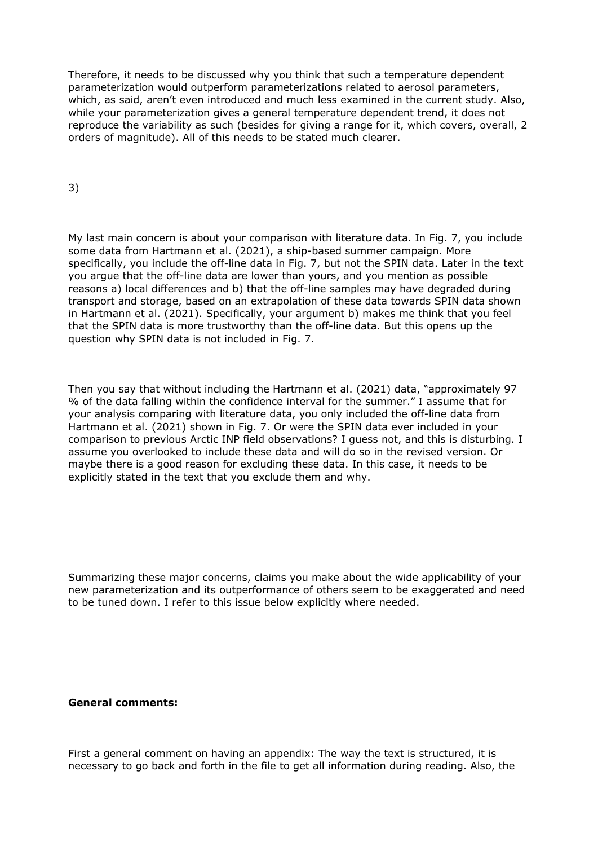Therefore, it needs to be discussed why you think that such a temperature dependent parameterization would outperform parameterizations related to aerosol parameters, which, as said, aren't even introduced and much less examined in the current study. Also, while your parameterization gives a general temperature dependent trend, it does not reproduce the variability as such (besides for giving a range for it, which covers, overall, 2 orders of magnitude). All of this needs to be stated much clearer.

3)

My last main concern is about your comparison with literature data. In Fig. 7, you include some data from Hartmann et al. (2021), a ship-based summer campaign. More specifically, you include the off-line data in Fig. 7, but not the SPIN data. Later in the text you argue that the off-line data are lower than yours, and you mention as possible reasons a) local differences and b) that the off-line samples may have degraded during transport and storage, based on an extrapolation of these data towards SPIN data shown in Hartmann et al. (2021). Specifically, your argument b) makes me think that you feel that the SPIN data is more trustworthy than the off-line data. But this opens up the question why SPIN data is not included in Fig. 7.

Then you say that without including the Hartmann et al. (2021) data, "approximately 97 % of the data falling within the confidence interval for the summer." I assume that for your analysis comparing with literature data, you only included the off-line data from Hartmann et al. (2021) shown in Fig. 7. Or were the SPIN data ever included in your comparison to previous Arctic INP field observations? I guess not, and this is disturbing. I assume you overlooked to include these data and will do so in the revised version. Or maybe there is a good reason for excluding these data. In this case, it needs to be explicitly stated in the text that you exclude them and why.

Summarizing these major concerns, claims you make about the wide applicability of your new parameterization and its outperformance of others seem to be exaggerated and need to be tuned down. I refer to this issue below explicitly where needed.

## **General comments:**

First a general comment on having an appendix: The way the text is structured, it is necessary to go back and forth in the file to get all information during reading. Also, the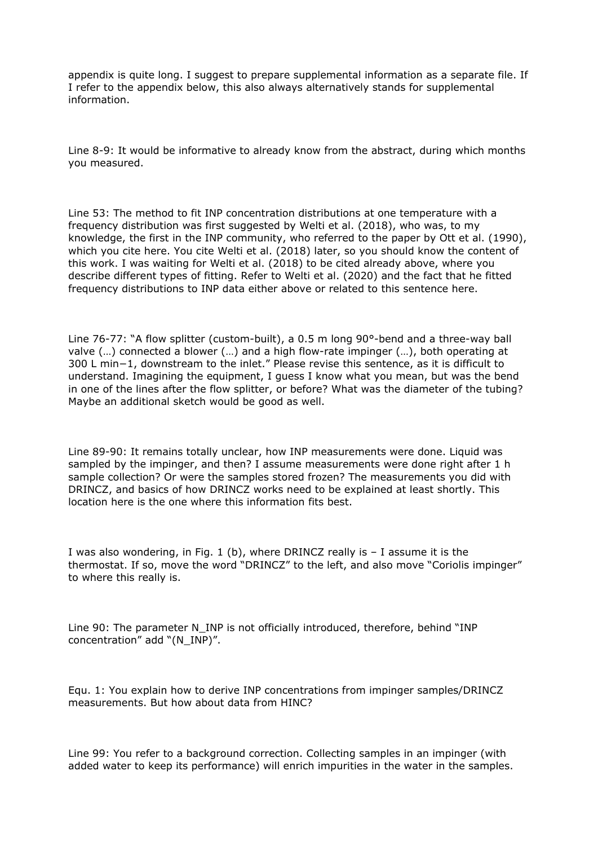appendix is quite long. I suggest to prepare supplemental information as a separate file. If I refer to the appendix below, this also always alternatively stands for supplemental information.

Line 8-9: It would be informative to already know from the abstract, during which months you measured.

Line 53: The method to fit INP concentration distributions at one temperature with a frequency distribution was first suggested by Welti et al. (2018), who was, to my knowledge, the first in the INP community, who referred to the paper by Ott et al. (1990), which you cite here. You cite Welti et al. (2018) later, so you should know the content of this work. I was waiting for Welti et al. (2018) to be cited already above, where you describe different types of fitting. Refer to Welti et al. (2020) and the fact that he fitted frequency distributions to INP data either above or related to this sentence here.

Line 76-77: "A flow splitter (custom-built), a 0.5 m long 90°-bend and a three-way ball valve (…) connected a blower (…) and a high flow-rate impinger (…), both operating at 300 L min−1, downstream to the inlet." Please revise this sentence, as it is difficult to understand. Imagining the equipment, I guess I know what you mean, but was the bend in one of the lines after the flow splitter, or before? What was the diameter of the tubing? Maybe an additional sketch would be good as well.

Line 89-90: It remains totally unclear, how INP measurements were done. Liquid was sampled by the impinger, and then? I assume measurements were done right after 1 h sample collection? Or were the samples stored frozen? The measurements you did with DRINCZ, and basics of how DRINCZ works need to be explained at least shortly. This location here is the one where this information fits best.

I was also wondering, in Fig. 1 (b), where DRINCZ really is  $-$  I assume it is the thermostat. If so, move the word "DRINCZ" to the left, and also move "Coriolis impinger" to where this really is.

Line 90: The parameter N\_INP is not officially introduced, therefore, behind "INP concentration" add "(N\_INP)".

Equ. 1: You explain how to derive INP concentrations from impinger samples/DRINCZ measurements. But how about data from HINC?

Line 99: You refer to a background correction. Collecting samples in an impinger (with added water to keep its performance) will enrich impurities in the water in the samples.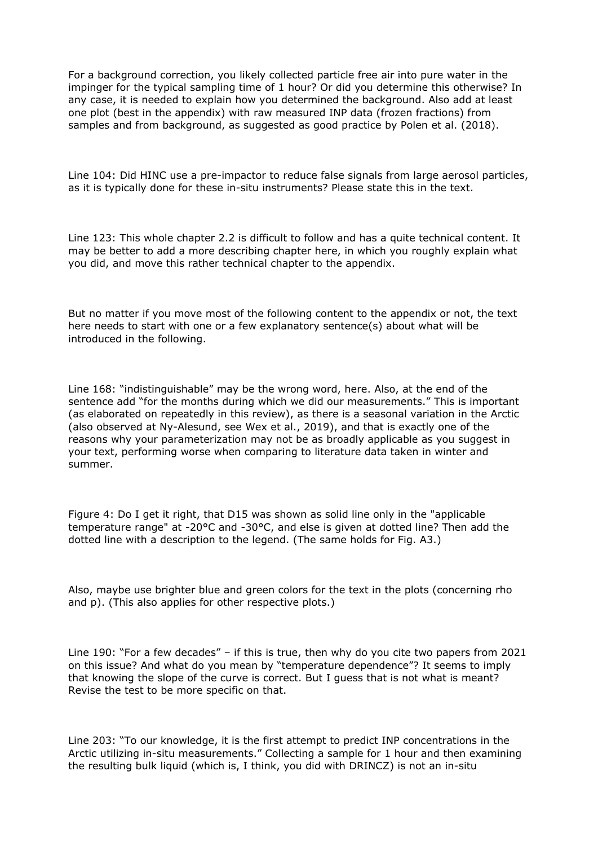For a background correction, you likely collected particle free air into pure water in the impinger for the typical sampling time of 1 hour? Or did you determine this otherwise? In any case, it is needed to explain how you determined the background. Also add at least one plot (best in the appendix) with raw measured INP data (frozen fractions) from samples and from background, as suggested as good practice by Polen et al. (2018).

Line 104: Did HINC use a pre-impactor to reduce false signals from large aerosol particles, as it is typically done for these in-situ instruments? Please state this in the text.

Line 123: This whole chapter 2.2 is difficult to follow and has a quite technical content. It may be better to add a more describing chapter here, in which you roughly explain what you did, and move this rather technical chapter to the appendix.

But no matter if you move most of the following content to the appendix or not, the text here needs to start with one or a few explanatory sentence(s) about what will be introduced in the following.

Line 168: "indistinguishable" may be the wrong word, here. Also, at the end of the sentence add "for the months during which we did our measurements." This is important (as elaborated on repeatedly in this review), as there is a seasonal variation in the Arctic (also observed at Ny-Alesund, see Wex et al., 2019), and that is exactly one of the reasons why your parameterization may not be as broadly applicable as you suggest in your text, performing worse when comparing to literature data taken in winter and summer.

Figure 4: Do I get it right, that D15 was shown as solid line only in the "applicable temperature range" at -20°C and -30°C, and else is given at dotted line? Then add the dotted line with a description to the legend. (The same holds for Fig. A3.)

Also, maybe use brighter blue and green colors for the text in the plots (concerning rho and p). (This also applies for other respective plots.)

Line 190: "For a few decades" – if this is true, then why do you cite two papers from 2021 on this issue? And what do you mean by "temperature dependence"? It seems to imply that knowing the slope of the curve is correct. But I guess that is not what is meant? Revise the test to be more specific on that.

Line 203: "To our knowledge, it is the first attempt to predict INP concentrations in the Arctic utilizing in-situ measurements." Collecting a sample for 1 hour and then examining the resulting bulk liquid (which is, I think, you did with DRINCZ) is not an in-situ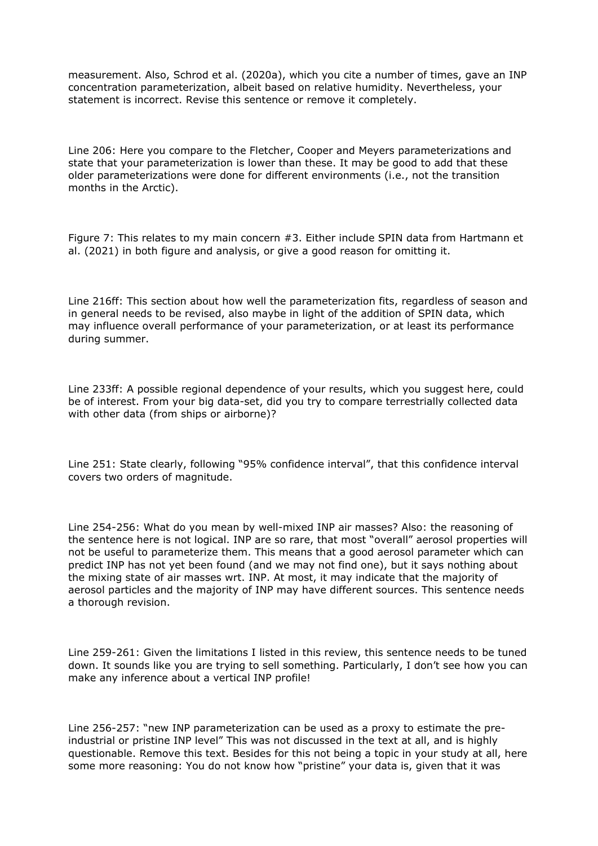measurement. Also, Schrod et al. (2020a), which you cite a number of times, gave an INP concentration parameterization, albeit based on relative humidity. Nevertheless, your statement is incorrect. Revise this sentence or remove it completely.

Line 206: Here you compare to the Fletcher, Cooper and Meyers parameterizations and state that your parameterization is lower than these. It may be good to add that these older parameterizations were done for different environments (i.e., not the transition months in the Arctic).

Figure 7: This relates to my main concern #3. Either include SPIN data from Hartmann et al. (2021) in both figure and analysis, or give a good reason for omitting it.

Line 216ff: This section about how well the parameterization fits, regardless of season and in general needs to be revised, also maybe in light of the addition of SPIN data, which may influence overall performance of your parameterization, or at least its performance during summer.

Line 233ff: A possible regional dependence of your results, which you suggest here, could be of interest. From your big data-set, did you try to compare terrestrially collected data with other data (from ships or airborne)?

Line 251: State clearly, following "95% confidence interval", that this confidence interval covers two orders of magnitude.

Line 254-256: What do you mean by well-mixed INP air masses? Also: the reasoning of the sentence here is not logical. INP are so rare, that most "overall" aerosol properties will not be useful to parameterize them. This means that a good aerosol parameter which can predict INP has not yet been found (and we may not find one), but it says nothing about the mixing state of air masses wrt. INP. At most, it may indicate that the majority of aerosol particles and the majority of INP may have different sources. This sentence needs a thorough revision.

Line 259-261: Given the limitations I listed in this review, this sentence needs to be tuned down. It sounds like you are trying to sell something. Particularly, I don't see how you can make any inference about a vertical INP profile!

Line 256-257: "new INP parameterization can be used as a proxy to estimate the preindustrial or pristine INP level" This was not discussed in the text at all, and is highly questionable. Remove this text. Besides for this not being a topic in your study at all, here some more reasoning: You do not know how "pristine" your data is, given that it was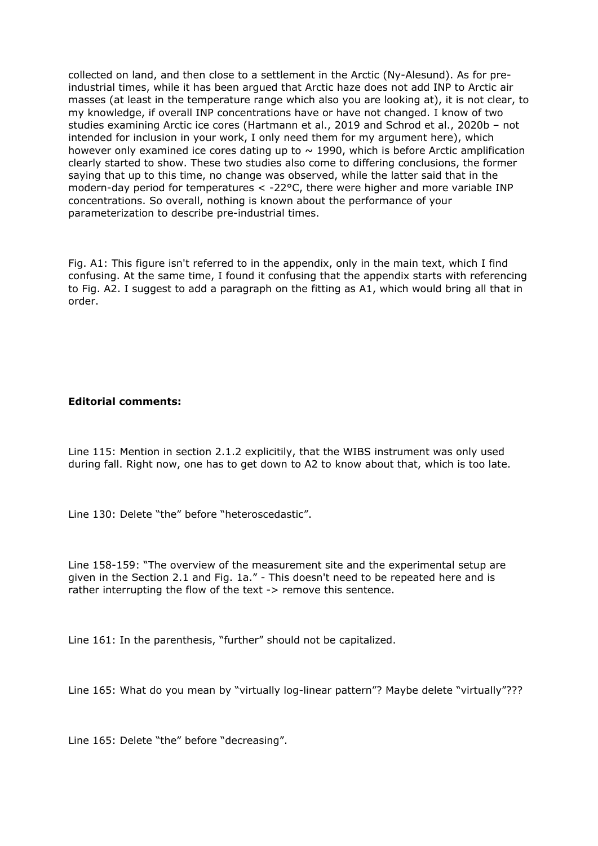collected on land, and then close to a settlement in the Arctic (Ny-Alesund). As for preindustrial times, while it has been argued that Arctic haze does not add INP to Arctic air masses (at least in the temperature range which also you are looking at), it is not clear, to my knowledge, if overall INP concentrations have or have not changed. I know of two studies examining Arctic ice cores (Hartmann et al., 2019 and Schrod et al., 2020b – not intended for inclusion in your work, I only need them for my argument here), which however only examined ice cores dating up to  $\sim$  1990, which is before Arctic amplification clearly started to show. These two studies also come to differing conclusions, the former saying that up to this time, no change was observed, while the latter said that in the modern-day period for temperatures  $\lt$  -22 $\degree$ C, there were higher and more variable INP concentrations. So overall, nothing is known about the performance of your parameterization to describe pre-industrial times.

Fig. A1: This figure isn't referred to in the appendix, only in the main text, which I find confusing. At the same time, I found it confusing that the appendix starts with referencing to Fig. A2. I suggest to add a paragraph on the fitting as A1, which would bring all that in order.

### **Editorial comments:**

Line 115: Mention in section 2.1.2 explicitily, that the WIBS instrument was only used during fall. Right now, one has to get down to A2 to know about that, which is too late.

Line 130: Delete "the" before "heteroscedastic".

Line 158-159: "The overview of the measurement site and the experimental setup are given in the Section 2.1 and Fig. 1a." - This doesn't need to be repeated here and is rather interrupting the flow of the text -> remove this sentence.

Line 161: In the parenthesis, "further" should not be capitalized.

Line 165: What do you mean by "virtually log-linear pattern"? Maybe delete "virtually"???

Line 165: Delete "the" before "decreasing".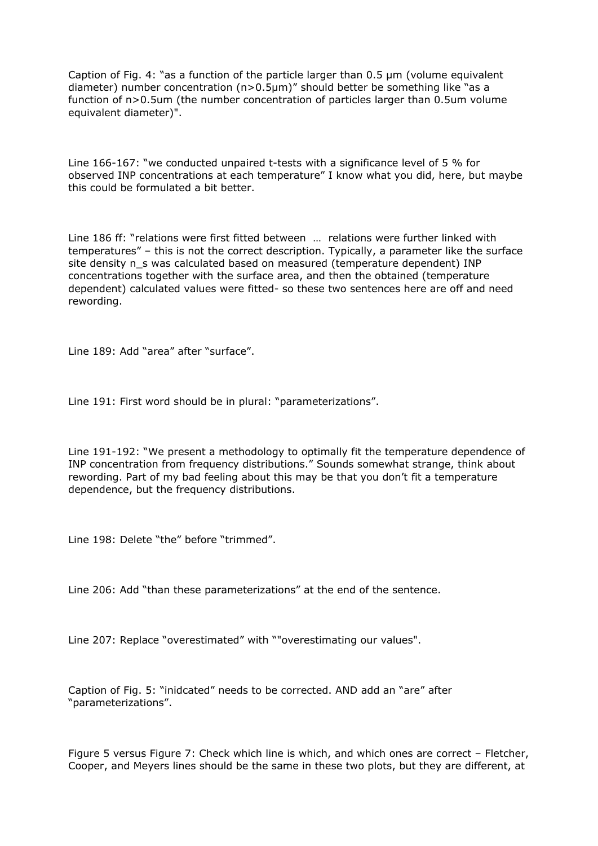Caption of Fig. 4: "as a function of the particle larger than 0.5 µm (volume equivalent diameter) number concentration (n>0.5µm)" should better be something like "as a function of n>0.5um (the number concentration of particles larger than 0.5um volume equivalent diameter)".

Line 166-167: "we conducted unpaired t-tests with a significance level of 5 % for observed INP concentrations at each temperature" I know what you did, here, but maybe this could be formulated a bit better.

Line 186 ff: "relations were first fitted between … relations were further linked with temperatures" – this is not the correct description. Typically, a parameter like the surface site density n\_s was calculated based on measured (temperature dependent) INP concentrations together with the surface area, and then the obtained (temperature dependent) calculated values were fitted- so these two sentences here are off and need rewording.

Line 189: Add "area" after "surface".

Line 191: First word should be in plural: "parameterizations".

Line 191-192: "We present a methodology to optimally fit the temperature dependence of INP concentration from frequency distributions." Sounds somewhat strange, think about rewording. Part of my bad feeling about this may be that you don't fit a temperature dependence, but the frequency distributions.

Line 198: Delete "the" before "trimmed".

Line 206: Add "than these parameterizations" at the end of the sentence.

Line 207: Replace "overestimated" with ""overestimating our values".

Caption of Fig. 5: "inidcated" needs to be corrected. AND add an "are" after "parameterizations".

Figure 5 versus Figure 7: Check which line is which, and which ones are correct – Fletcher, Cooper, and Meyers lines should be the same in these two plots, but they are different, at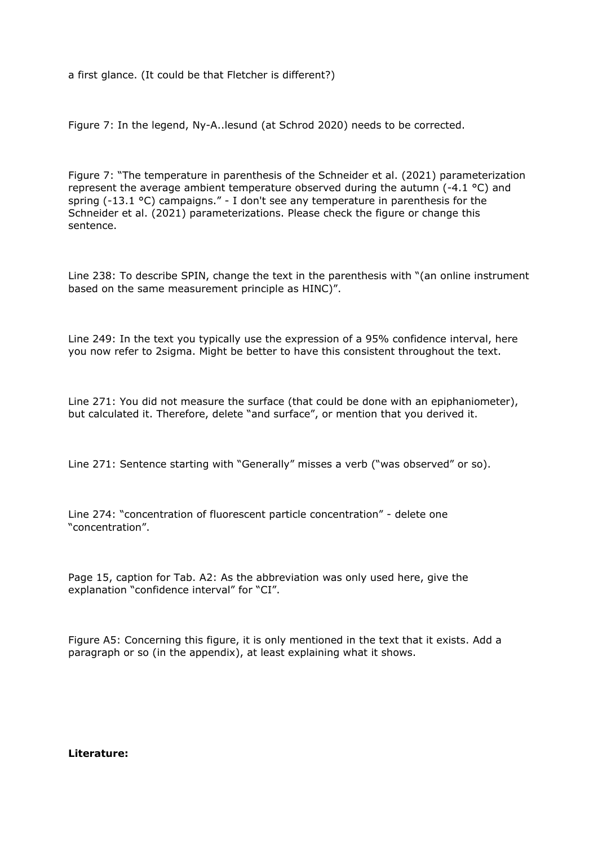a first glance. (It could be that Fletcher is different?)

Figure 7: In the legend, Ny-A..lesund (at Schrod 2020) needs to be corrected.

Figure 7: "The temperature in parenthesis of the Schneider et al. (2021) parameterization represent the average ambient temperature observed during the autumn (-4.1 °C) and spring  $(-13.1 \degree C)$  campaigns." - I don't see any temperature in parenthesis for the Schneider et al. (2021) parameterizations. Please check the figure or change this sentence.

Line 238: To describe SPIN, change the text in the parenthesis with "(an online instrument based on the same measurement principle as HINC)".

Line 249: In the text you typically use the expression of a 95% confidence interval, here you now refer to 2sigma. Might be better to have this consistent throughout the text.

Line 271: You did not measure the surface (that could be done with an epiphaniometer), but calculated it. Therefore, delete "and surface", or mention that you derived it.

Line 271: Sentence starting with "Generally" misses a verb ("was observed" or so).

Line 274: "concentration of fluorescent particle concentration" - delete one "concentration".

Page 15, caption for Tab. A2: As the abbreviation was only used here, give the explanation "confidence interval" for "CI".

Figure A5: Concerning this figure, it is only mentioned in the text that it exists. Add a paragraph or so (in the appendix), at least explaining what it shows.

**Literature:**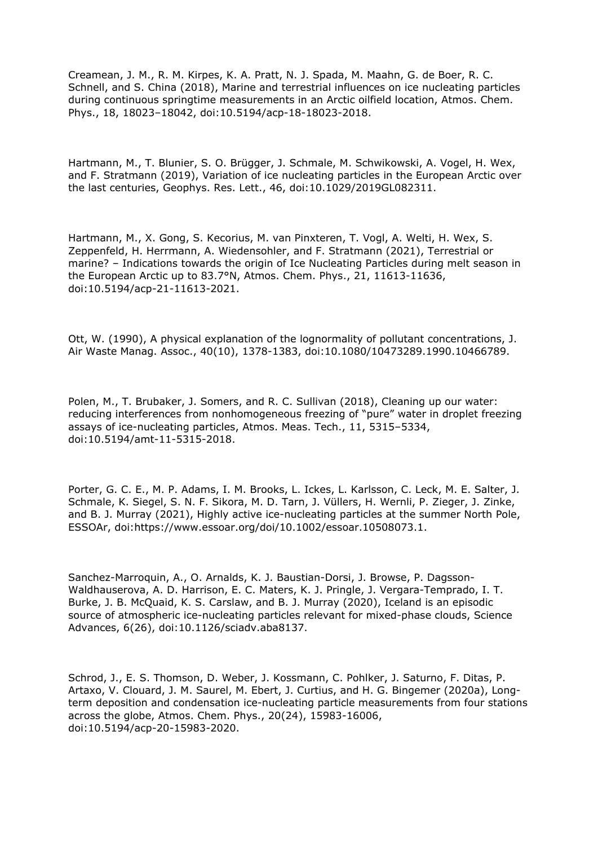Creamean, J. M., R. M. Kirpes, K. A. Pratt, N. J. Spada, M. Maahn, G. de Boer, R. C. Schnell, and S. China (2018), Marine and terrestrial influences on ice nucleating particles during continuous springtime measurements in an Arctic oilfield location, Atmos. Chem. Phys., 18, 18023–18042, doi:10.5194/acp-18-18023-2018.

Hartmann, M., T. Blunier, S. O. Brügger, J. Schmale, M. Schwikowski, A. Vogel, H. Wex, and F. Stratmann (2019), Variation of ice nucleating particles in the European Arctic over the last centuries, Geophys. Res. Lett., 46, doi:10.1029/2019GL082311.

Hartmann, M., X. Gong, S. Kecorius, M. van Pinxteren, T. Vogl, A. Welti, H. Wex, S. Zeppenfeld, H. Herrmann, A. Wiedensohler, and F. Stratmann (2021), Terrestrial or marine? – Indications towards the origin of Ice Nucleating Particles during melt season in the European Arctic up to 83.7°N, Atmos. Chem. Phys., 21, 11613-11636, doi:10.5194/acp-21-11613-2021.

Ott, W. (1990), A physical explanation of the lognormality of pollutant concentrations, J. Air Waste Manag. Assoc., 40(10), 1378-1383, doi:10.1080/10473289.1990.10466789.

Polen, M., T. Brubaker, J. Somers, and R. C. Sullivan (2018), Cleaning up our water: reducing interferences from nonhomogeneous freezing of "pure" water in droplet freezing assays of ice-nucleating particles, Atmos. Meas. Tech., 11, 5315–5334, doi:10.5194/amt-11-5315-2018.

Porter, G. C. E., M. P. Adams, I. M. Brooks, L. Ickes, L. Karlsson, C. Leck, M. E. Salter, J. Schmale, K. Siegel, S. N. F. Sikora, M. D. Tarn, J. Vüllers, H. Wernli, P. Zieger, J. Zinke, and B. J. Murray (2021), Highly active ice-nucleating particles at the summer North Pole, ESSOAr, doi:https://www.essoar.org/doi/10.1002/essoar.10508073.1.

Sanchez-Marroquin, A., O. Arnalds, K. J. Baustian-Dorsi, J. Browse, P. Dagsson-Waldhauserova, A. D. Harrison, E. C. Maters, K. J. Pringle, J. Vergara-Temprado, I. T. Burke, J. B. McQuaid, K. S. Carslaw, and B. J. Murray (2020), Iceland is an episodic source of atmospheric ice-nucleating particles relevant for mixed-phase clouds, Science Advances, 6(26), doi:10.1126/sciadv.aba8137.

Schrod, J., E. S. Thomson, D. Weber, J. Kossmann, C. Pohlker, J. Saturno, F. Ditas, P. Artaxo, V. Clouard, J. M. Saurel, M. Ebert, J. Curtius, and H. G. Bingemer (2020a), Longterm deposition and condensation ice-nucleating particle measurements from four stations across the globe, Atmos. Chem. Phys., 20(24), 15983-16006, doi:10.5194/acp-20-15983-2020.